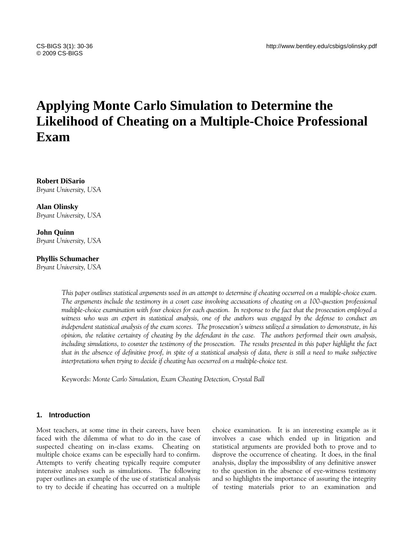# **Applying Monte Carlo Simulation to Determine the Likelihood of Cheating on a Multiple-Choice Professional Exam**

**Robert DiSario** *Bryant University, USA* 

**Alan Olinsky** *Bryant University, USA* 

**John Quinn** *Bryant University, USA* 

#### **Phyllis Schumacher**

*Bryant University, USA* 

*This paper outlines statistical arguments used in an attempt to determine if cheating occurred on a multiple-choice exam. The arguments include the testimony in a court case involving accusations of cheating on a 100-question professional multiple-choice examination with four choices for each question. In response to the fact that the prosecution employed a*  witness who was an expert in statistical analysis, one of the authors was engaged by the defense to conduct an *independent statistical analysis of the exam scores. The prosecution's witness utilized a simulation to demonstrate, in his opinion, the relative certainty of cheating by the defendant in the case. The authors performed their own analysis, including simulations, to counter the testimony of the prosecution. The results presented in this paper highlight the fact that in the absence of definitive proof, in spite of a statistical analysis of data, there is still a need to make subjective interpretations when trying to decide if cheating has occurred on a multiple-choice test.* 

Keywords: *Monte Carlo Simulation, Exam Cheating Detection, Crystal Ball* 

#### **1. Introduction**

Most teachers, at some time in their careers, have been faced with the dilemma of what to do in the case of suspected cheating on in-class exams. Cheating on multiple choice exams can be especially hard to confirm. Attempts to verify cheating typically require computer intensive analyses such as simulations. The following paper outlines an example of the use of statistical analysis to try to decide if cheating has occurred on a multiple

choice examination. It is an interesting example as it involves a case which ended up in litigation and statistical arguments are provided both to prove and to disprove the occurrence of cheating. It does, in the final analysis, display the impossibility of any definitive answer to the question in the absence of eye-witness testimony and so highlights the importance of assuring the integrity of testing materials prior to an examination and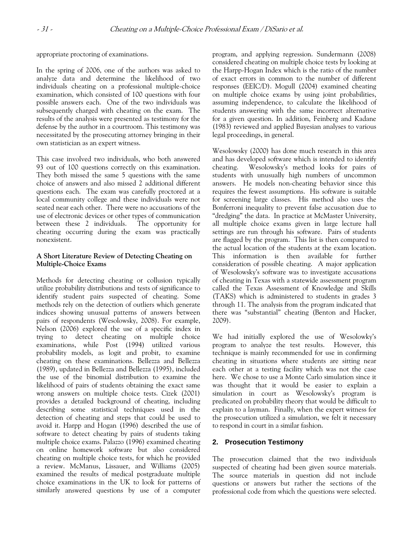appropriate proctoring of examinations.

In the spring of 2006, one of the authors was asked to analyze data and determine the likelihood of two individuals cheating on a professional multiple-choice examination, which consisted of 100 questions with four possible answers each. One of the two individuals was subsequently charged with cheating on the exam. The results of the analysis were presented as testimony for the defense by the author in a courtroom. This testimony was necessitated by the prosecuting attorney bringing in their own statistician as an expert witness.

This case involved two individuals, who both answered 93 out of 100 questions correctly on this examination. They both missed the same 5 questions with the same choice of answers and also missed 2 additional different questions each. The exam was carefully proctored at a local community college and these individuals were not seated near each other. There were no accusations of the use of electronic devices or other types of communication between these 2 individuals. The opportunity for cheating occurring during the exam was practically nonexistent.

## **A Short Literature Review of Detecting Cheating on Multiple-Choice Exams**

Methods for detecting cheating or collusion typically utilize probability distributions and tests of significance to identify student pairs suspected of cheating. Some methods rely on the detection of outliers which generate indices showing unusual patterns of answers between pairs of respondents (Wesolowsky, 2008). For example, Nelson (2006) explored the use of a specific index in trying to detect cheating on multiple choice examinations, while Post (1994) utilized various probability models, as logit and probit, to examine cheating on these examinations. Bellezza and Bellezza (1989), updated in Bellezza and Bellezza (1995), included the use of the binomial distribution to examine the likelihood of pairs of students obtaining the exact same wrong answers on multiple choice tests. Cizek (2001) provides a detailed background of cheating, including describing some statistical techniques used in the detection of cheating and steps that could be used to avoid it. Harpp and Hogan (1996) described the use of software to detect cheating by pairs of students taking multiple choice exams. Palazzo (1996) examined cheating on online homework software but also considered cheating on multiple choice tests, for which he provided a review. McManus, Lissauer, and Williams (2005) examined the results of medical postgraduate multiple choice examinations in the UK to look for patterns of similarly answered questions by use of a computer

program, and applying regression. Sundermann (2008) considered cheating on multiple choice tests by looking at the Harpp-Hogan Index which is the ratio of the number of exact errors in common to the number of different responses (EEIC/D). Mogull (2004) examined cheating on multiple choice exams by using joint probabilities, assuming independence, to calculate the likelihood of students answering with the same incorrect alternative for a given question. In addition, Feinberg and Kadane (1983) reviewed and applied Bayesian analyses to various legal proceedings, in general.

Wesolowsky (2000) has done much research in this area and has developed software which is intended to identify cheating. Wesolowsky's method looks for pairs of students with unusually high numbers of uncommon answers. He models non-cheating behavior since this requires the fewest assumptions. His software is suitable for screening large classes. His method also uses the Bonferroni inequality to prevent false accusation due to "dredging" the data. In practice at McMaster University, all multiple choice exams given in large lecture hall settings are run through his software. Pairs of students are flagged by the program. This list is then compared to the actual location of the students at the exam location. This information is then available for further consideration of possible cheating. A major application of Wesolowsky's software was to investigate accusations of cheating in Texas with a statewide assessment program called the Texas Assessment of Knowledge and Skills (TAKS) which is administered to students in grades 3 through 11. The analysis from the program indicated that there was "substantial" cheating (Benton and Hacker, 2009).

We had initially explored the use of Wesolowky's program to analyze the test results. However, this technique is mainly recommended for use in confirming cheating in situations where students are sitting near each other at a testing facility which was not the case here. We chose to use a Monte Carlo simulation since it was thought that it would be easier to explain a simulation in court as Wesolowsky's program is predicated on probability theory that would be difficult to explain to a layman. Finally, when the expert witness for the prosecution utilized a simulation, we felt it necessary to respond in court in a similar fashion.

# **2. Prosecution Testimony**

The prosecution claimed that the two individuals suspected of cheating had been given source materials. The source materials in question did not include questions or answers but rather the sections of the professional code from which the questions were selected.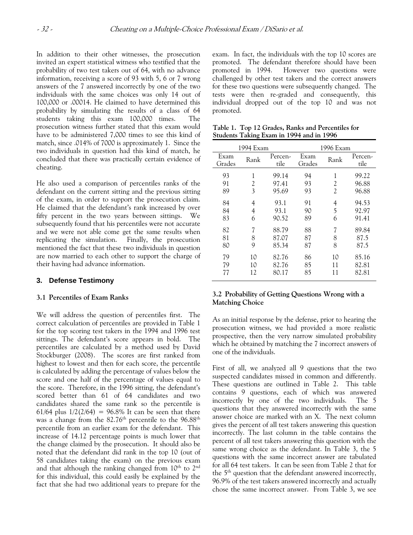In addition to their other witnesses, the prosecution invited an expert statistical witness who testified that the probability of two test takers out of 64, with no advance information, receiving a score of 93 with 5, 6 or 7 wrong answers of the 7 answered incorrectly by one of the two individuals with the same choices was only 14 out of 100,000 or .00014. He claimed to have determined this probability by simulating the results of a class of 64 students taking this exam 100,000 times. The prosecution witness further stated that this exam would have to be administered 7,000 times to see this kind of match, since .014% of 7000 is approximately 1. Since the two individuals in question had this kind of match, he concluded that there was practically certain evidence of cheating.

He also used a comparison of percentiles ranks of the defendant on the current sitting and the previous sitting of the exam, in order to support the prosecution claim. He claimed that the defendant's rank increased by over fifty percent in the two years between sittings. We subsequently found that his percentiles were not accurate and we were not able come get the same results when replicating the simulation. Finally, the prosecution mentioned the fact that these two individuals in question are now married to each other to support the charge of their having had advance information.

### **3. Defense Testimony**

#### **3.1 Percentiles of Exam Ranks**

We will address the question of percentiles first. The correct calculation of percentiles are provided in Table 1 for the top scoring test takers in the 1994 and 1996 test sittings. The defendant's score appears in bold. The percentiles are calculated by a method used by David Stockburger (2008). The scores are first ranked from highest to lowest and then for each score, the percentile is calculated by adding the percentage of values below the score and one half of the percentage of values equal to the score. Therefore, in the 1996 sitting, the defendant's scored better than 61 of 64 candidates and two candidates shared the same rank so the percentile is 61/64 plus  $1/2(2/64) = 96.8\%$  It can be seen that there was a change from the 82.76<sup>th</sup> percentile to the 96.88<sup>th</sup> percentile from an earlier exam for the defendant. This increase of 14.12 percentage points is much lower that the change claimed by the prosecution. It should also be noted that the defendant did rank in the top 10 (out of 58 candidates taking the exam) on the previous exam and that although the ranking changed from 10<sup>th</sup> to 2<sup>nd</sup> for this individual, this could easily be explained by the fact that she had two additional years to prepare for the exam. In fact, the individuals with the top 10 scores are promoted. The defendant therefore should have been promoted in 1994. However two questions were challenged by other test takers and the correct answers for these two questions were subsequently changed. The tests were then re-graded and consequently, this individual dropped out of the top 10 and was not promoted.

| 1994 Exam      |      |                 | 1996 Exam      |                |                 |
|----------------|------|-----------------|----------------|----------------|-----------------|
| Exam<br>Grades | Rank | Percen-<br>tile | Exam<br>Grades | Rank           | Percen-<br>tile |
| 93             | 1    | 99.14           | 94             | 1              | 99.22           |
| 91             | 2    | 97.41           | 93             | $\overline{c}$ | 96.88           |
| 89             | 3    | 95.69           | 93             | 2              | 96.88           |
| 84             | 4    | 93.1            | 91             | 4              | 94.53           |
| 84             | 4    | 93.1            | 90             | 5              | 92.97           |
| 83             | 6    | 90.52           | 89             | 6              | 91.41           |
| 82             | 7    | 88.79           | 88             | 7              | 89.84           |
| 81             | 8    | 87.07           | 87             | 8              | 87.5            |
| 80             | 9    | 85.34           | 87             | 8              | 87.5            |
| 79             | 10   | 82.76           | 86             | 10             | 85.16           |
| 79             | 10   | 82.76           | 85             | 11             | 82.81           |
| 77             | 12   | 80.17           | 85             | 11             | 82.81           |

**Table 1. Top 12 Grades, Ranks and Percentiles for Students Taking Exam in 1994 and in 1996** 

## **3.2 Probability of Getting Questions Wrong with a Matching Choice**

As an initial response by the defense, prior to hearing the prosecution witness, we had provided a more realistic prospective, then the very narrow simulated probability which he obtained by matching the 7 incorrect answers of one of the individuals.

First of all, we analyzed all 9 questions that the two suspected candidates missed in common and differently. These questions are outlined in Table 2. This table contains 9 questions, each of which was answered incorrectly by one of the two individuals. The 5 questions that they answered incorrectly with the same answer choice are marked with an X. The next column gives the percent of all test takers answering this question incorrectly. The last column in the table contains the percent of all test takers answering this question with the same wrong choice as the defendant. In Table 3, the 5 questions with the same incorrect answer are tabulated for all 64 test takers. It can be seen from Table 2 that for the 5th question that the defendant answered incorrectly, 96.9% of the test takers answered incorrectly and actually chose the same incorrect answer. From Table 3, we see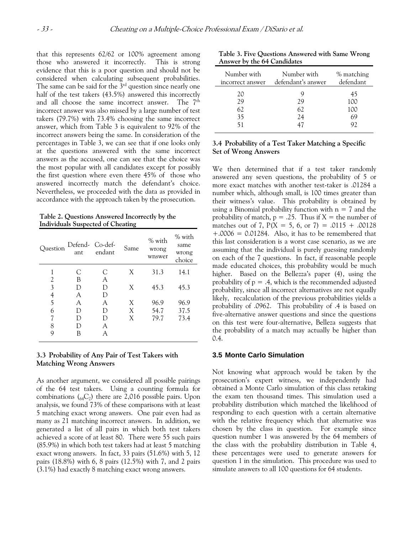that this represents 62/62 or 100% agreement among those who answered it incorrectly. This is strong evidence that this is a poor question and should not be considered when calculating subsequent probabilities. The same can be said for the  $3<sup>rd</sup>$  question since nearly one half of the test takers (43.5%) answered this incorrectly and all choose the same incorrect answer. The 7<sup>th</sup> incorrect answer was also missed by a large number of test takers (79.7%) with 73.4% choosing the same incorrect answer, which from Table 3 is equivalent to 92% of the incorrect answers being the same. In consideration of the percentages in Table 3, we can see that if one looks only at the questions answered with the same incorrect answers as the accused, one can see that the choice was the most popular with all candidates except for possibly the first question where even there 45% of those who answered incorrectly match the defendant's choice. Nevertheless, we proceeded with the data as provided in accordance with the approach taken by the prosecution.

**Table 2. Questions Answered Incorrectly by the Individuals Suspected of Cheating** 

| Question       | Defend-Co-def-<br>ant | endant | Same | % with<br>wrong<br>wnswer | % with<br>same<br>wrong<br>choice |
|----------------|-----------------------|--------|------|---------------------------|-----------------------------------|
| 1              | C                     | C      | X    | 31.3                      | 14.1                              |
| 2              | В                     | A      |      |                           |                                   |
| $\overline{3}$ | D                     | D      | X    | 45.3                      | 45.3                              |
| 4<br>5         | A                     | D      |      |                           |                                   |
|                | A                     | A      | X    | 96.9                      | 96.9                              |
| 6              | D                     | D      | X    | 54.7                      | 37.5                              |
| 7              | D                     | D      | X    | 79.7                      | 73.4                              |
| 8              | D                     | А      |      |                           |                                   |
| 9              | В                     | А      |      |                           |                                   |

#### **3.3 Probability of Any Pair of Test Takers with Matching Wrong Answers**

As another argument, we considered all possible pairings of the 64 test takers. Using a counting formula for combinations  $(_{64}C_2)$  there are 2,016 possible pairs. Upon analysis, we found 73% of these comparisons with at least 5 matching exact wrong answers. One pair even had as many as 21 matching incorrect answers. In addition, we generated a list of all pairs in which both test takers achieved a score of at least 80. There were 55 such pairs (85.9%) in which both test takers had at least 5 matching exact wrong answers. In fact, 33 pairs (51.6%) with 5, 12 pairs (18.8%) with 6, 8 pairs (12.5%) with 7, and 2 pairs (3.1%) had exactly 8 matching exact wrong answers.

**Table 3. Five Questions Answered with Same Wrong Answer by the 64 Candidates** 

| Number with<br>incorrect answer | Number with<br>defendant's answer | % matching<br>defendant |
|---------------------------------|-----------------------------------|-------------------------|
| 20                              |                                   | 45                      |
| 29                              | 29                                | 100                     |
| 62                              | 62                                | 100                     |
| 35                              | 24                                | 69                      |
|                                 | 47                                | 97                      |
|                                 |                                   |                         |

#### **3.4 Probability of a Test Taker Matching a Specific Set of Wrong Answers**

We then determined that if a test taker randomly answered any seven questions, the probability of 5 or more exact matches with another test-taker is .01284 a number which, although small, is 100 times greater than their witness's value. This probability is obtained by using a Binomial probability function with  $n = 7$  and the probability of match,  $p = .25$ . Thus if  $X =$  the number of matches out of 7,  $P(X = 5, 6, or 7) = .0115 + .00128$  $+.0006 = 0.01284$ . Also, it has to be remembered that this last consideration is a worst case scenario, as we are assuming that the individual is purely guessing randomly on each of the 7 questions. In fact, if reasonable people made educated choices, this probability would be much higher. Based on the Bellezza's paper (4), using the probability of  $p = .4$ , which is the recommended adjusted probability, since all incorrect alternatives are not equally likely, recalculation of the previous probabilities yields a probability of .0962. This probability of .4 is based on five-alternative answer questions and since the questions on this test were four-alternative, Belleza suggests that the probability of a match may actually be higher than 0.4.

#### **3.5 Monte Carlo Simulation**

Not knowing what approach would be taken by the prosecution's expert witness, we independently had obtained a Monte Carlo simulation of this class retaking the exam ten thousand times. This simulation used a probability distribution which matched the likelihood of responding to each question with a certain alternative with the relative frequency which that alternative was chosen by the class in question. For example since question number 1 was answered by the 64 members of the class with the probability distribution in Table 4, these percentages were used to generate answers for question 1 in the simulation. This procedure was used to simulate answers to all 100 questions for 64 students.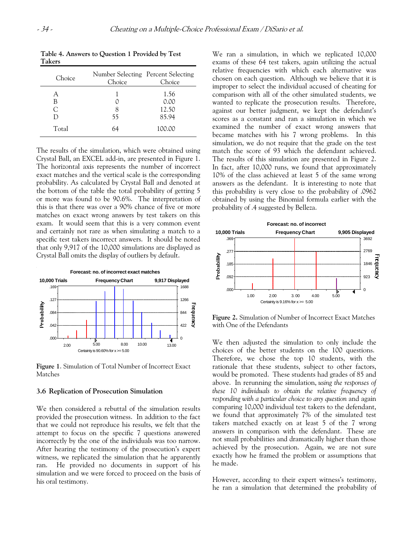| <b>Takers</b> |                                              |        |
|---------------|----------------------------------------------|--------|
| Choice        | Number Selecting Percent Selecting<br>Choice | Choice |
|               |                                              | 1.56   |
|               |                                              | 100    |

C 8 12.50<br>D 55 85.94

Total 64 100.00

55 85.94

**Table 4. Answers to Question 1 Provided by Test** 

The results of the simulation, which were obtained using Crystal Ball, an EXCEL add-in, are presented in Figure 1. The horizontal axis represents the number of incorrect exact matches and the vertical scale is the corresponding probability. As calculated by Crystal Ball and denoted at the bottom of the table the total probability of getting 5 or more was found to be 90.6%. The interpretation of this is that there was over a 90% chance of five or more matches on exact wrong answers by test takers on this exam. It would seem that this is a very common event and certainly not rare as when simulating a match to a specific test takers incorrect answers. It should be noted that only 9,917 of the 10,000 simulations are displayed as Crystal Ball omits the display of outliers by default.



**Figure 1**. Simulation of Total Number of Incorrect Exact Matches

#### **3.6 Replication of Prosecution Simulation**

We then considered a rebuttal of the simulation results provided the prosecution witness. In addition to the fact that we could not reproduce his results, we felt that the attempt to focus on the specific 7 questions answered incorrectly by the one of the individuals was too narrow. After hearing the testimony of the prosecution's expert witness, we replicated the simulation that he apparently ran. He provided no documents in support of his simulation and we were forced to proceed on the basis of his oral testimony.

We ran a simulation, in which we replicated 10,000 exams of these 64 test takers, again utilizing the actual relative frequencies with which each alternative was chosen on each question. Although we believe that it is improper to select the individual accused of cheating for comparison with all of the other simulated students, we wanted to replicate the prosecution results. Therefore, against our better judgment, we kept the defendant's scores as a constant and ran a simulation in which we examined the number of exact wrong answers that became matches with his 7 wrong problems. In this simulation, we do not require that the grade on the test match the score of 93 which the defendant achieved. The results of this simulation are presented in Figure 2. In fact, after 10,000 runs, we found that approximately 10% of the class achieved at least 5 of the same wrong answers as the defendant. It is interesting to note that this probability is very close to the probability of .0962 obtained by using the Binomial formula earlier with the probability of .4 suggested by Belleza.



**Figure 2.** Simulation of Number of Incorrect Exact Matches with One of the Defendants

We then adjusted the simulation to only include the choices of the better students on the 100 questions. Therefore, we chose the top 10 students, with the rationale that these students, subject to other factors, would be promoted. These students had grades of 85 and above. In rerunning the simulation, *using the responses of these 10 individuals to obtain the relative frequency of responding with a particular choice to any question* and again comparing 10,000 individual test takers to the defendant, we found that approximately 7% of the simulated test takers matched exactly on at least 5 of the 7 wrong answers in comparison with the defendant. These are not small probabilities and dramatically higher than those achieved by the prosecution. Again, we are not sure exactly how he framed the problem or assumptions that he made.

However, according to their expert witness's testimony, he ran a simulation that determined the probability of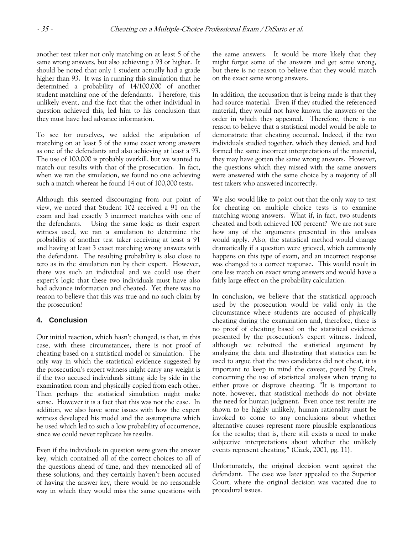another test taker not only matching on at least 5 of the same wrong answers, but also achieving a 93 or higher. It should be noted that only 1 student actually had a grade higher than 93. It was in running this simulation that he determined a probability of 14/100,000 of another student matching one of the defendants. Therefore, this unlikely event, and the fact that the other individual in question achieved this, led him to his conclusion that they must have had advance information.

To see for ourselves, we added the stipulation of matching on at least 5 of the same exact wrong answers as one of the defendants and also achieving at least a 93. The use of 100,000 is probably overkill, but we wanted to match our results with that of the prosecution. In fact, when we ran the simulation, we found no one achieving such a match whereas he found 14 out of 100,000 tests.

Although this seemed discouraging from our point of view, we noted that Student 102 received a 91 on the exam and had exactly 3 incorrect matches with one of the defendants. Using the same logic as their expert witness used, we ran a simulation to determine the probability of another test taker receiving at least a 91 and having at least 3 exact matching wrong answers with the defendant. The resulting probability is also close to zero as in the simulation run by their expert. However, there was such an individual and we could use their expert's logic that these two individuals must have also had advance information and cheated. Yet there was no reason to believe that this was true and no such claim by the prosecution!

# **4. Conclusion**

Our initial reaction, which hasn't changed, is that, in this case, with these circumstances, there is not proof of cheating based on a statistical model or simulation. The only way in which the statistical evidence suggested by the prosecution's expert witness might carry any weight is if the two accused individuals sitting side by side in the examination room and physically copied from each other. Then perhaps the statistical simulation might make sense. However it is a fact that this was not the case. In addition, we also have some issues with how the expert witness developed his model and the assumptions which he used which led to such a low probability of occurrence, since we could never replicate his results.

Even if the individuals in question were given the answer key, which contained all of the correct choices to all of the questions ahead of time, and they memorized all of these solutions, and they certainly haven't been accused of having the answer key, there would be no reasonable way in which they would miss the same questions with the same answers. It would be more likely that they might forget some of the answers and get some wrong, but there is no reason to believe that they would match on the exact same wrong answers.

In addition, the accusation that is being made is that they had source material. Even if they studied the referenced material, they would not have known the answers or the order in which they appeared. Therefore, there is no reason to believe that a statistical model would be able to demonstrate that cheating occurred. Indeed, if the two individuals studied together, which they denied, and had formed the same incorrect interpretations of the material, they may have gotten the same wrong answers. However, the questions which they missed with the same answers were answered with the same choice by a majority of all test takers who answered incorrectly.

We also would like to point out that the only way to test for cheating on multiple choice tests is to examine matching wrong answers. What if, in fact, two students cheated and both achieved 100 percent? We are not sure how any of the arguments presented in this analysis would apply. Also, the statistical method would change dramatically if a question were grieved, which commonly happens on this type of exam, and an incorrect response was changed to a correct response. This would result in one less match on exact wrong answers and would have a fairly large effect on the probability calculation.

In conclusion, we believe that the statistical approach used by the prosecution would be valid only in the circumstance where students are accused of physically cheating during the examination and, therefore, there is no proof of cheating based on the statistical evidence presented by the prosecution's expert witness. Indeed, although we rebutted the statistical argument by analyzing the data and illustrating that statistics can be used to argue that the two candidates did not cheat, it is important to keep in mind the caveat, posed by Cizek, concerning the use of statistical analysis when trying to either prove or disprove cheating. "It is important to note, however, that statistical methods do not obviate the need for human judgment. Even once test results are shown to be highly unlikely, human rationality must be invoked to come to any conclusions about whether alternative causes represent more plausible explanations for the results; that is, there still exists a need to make subjective interpretations about whether the unlikely events represent cheating." (Cizek, 2001, pg. 11).

Unfortunately, the original decision went against the defendant. The case was later appealed to the Superior Court, where the original decision was vacated due to procedural issues.